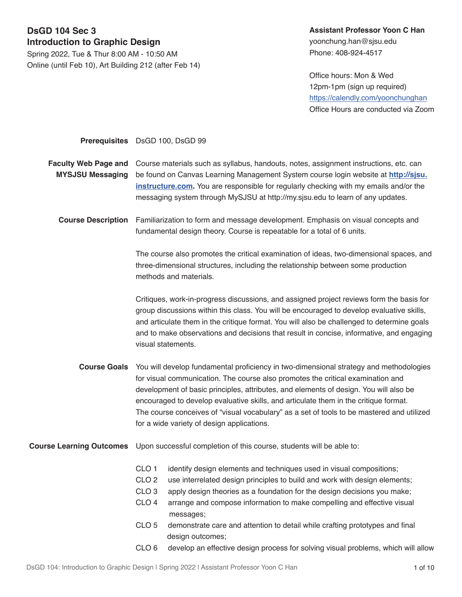## **DsGD 104 Sec 3 Introduction to Graphic Design**

Spring 2022, Tue & Thur 8:00 AM - 10:50 AM Online (until Feb 10), Art Building 212 (after Feb 14)

# **Assistant Professor Yoon C Han**

yoonchung.han@sjsu.edu Phone: 408-924-4517

Office hours: Mon & Wed 12pm-1pm (sign up required) <https://calendly.com/yoonchunghan> Office Hours are conducted via Zoom

|                                                        | Prerequisites DsGD 100, DsGD 99                                                                                                                                                                                                                                                                                                                                                                                                                                                                            |  |  |  |
|--------------------------------------------------------|------------------------------------------------------------------------------------------------------------------------------------------------------------------------------------------------------------------------------------------------------------------------------------------------------------------------------------------------------------------------------------------------------------------------------------------------------------------------------------------------------------|--|--|--|
| <b>Faculty Web Page and</b><br><b>MYSJSU Messaging</b> | Course materials such as syllabus, handouts, notes, assignment instructions, etc. can<br>be found on Canvas Learning Management System course login website at http://sjsu.<br>instructure.com. You are responsible for regularly checking with my emails and/or the<br>messaging system through MySJSU at http://my.sjsu.edu to learn of any updates.                                                                                                                                                     |  |  |  |
| <b>Course Description</b>                              | Familiarization to form and message development. Emphasis on visual concepts and<br>fundamental design theory. Course is repeatable for a total of 6 units.                                                                                                                                                                                                                                                                                                                                                |  |  |  |
|                                                        | The course also promotes the critical examination of ideas, two-dimensional spaces, and<br>three-dimensional structures, including the relationship between some production<br>methods and materials.                                                                                                                                                                                                                                                                                                      |  |  |  |
|                                                        | Critiques, work-in-progress discussions, and assigned project reviews form the basis for<br>group discussions within this class. You will be encouraged to develop evaluative skills,<br>and articulate them in the critique format. You will also be challenged to determine goals<br>and to make observations and decisions that result in concise, informative, and engaging<br>visual statements.                                                                                                      |  |  |  |
| <b>Course Goals</b>                                    | You will develop fundamental proficiency in two-dimensional strategy and methodologies<br>for visual communication. The course also promotes the critical examination and<br>development of basic principles, attributes, and elements of design. You will also be<br>encouraged to develop evaluative skills, and articulate them in the critique format.<br>The course conceives of "visual vocabulary" as a set of tools to be mastered and utilized<br>for a wide variety of design applications.      |  |  |  |
| <b>Course Learning Outcomes</b>                        | Upon successful completion of this course, students will be able to:                                                                                                                                                                                                                                                                                                                                                                                                                                       |  |  |  |
|                                                        | CLO <sub>1</sub><br>identify design elements and techniques used in visual compositions;<br>CLO <sub>2</sub><br>use interrelated design principles to build and work with design elements;<br>CLO <sub>3</sub><br>apply design theories as a foundation for the design decisions you make;<br>CLO <sub>4</sub><br>arrange and compose information to make compelling and effective visual<br>messages;<br>CLO <sub>5</sub><br>demonstrate care and attention to detail while crafting prototypes and final |  |  |  |

CLO 6 develop an effective design process for solving visual problems, which will allow

design outcomes;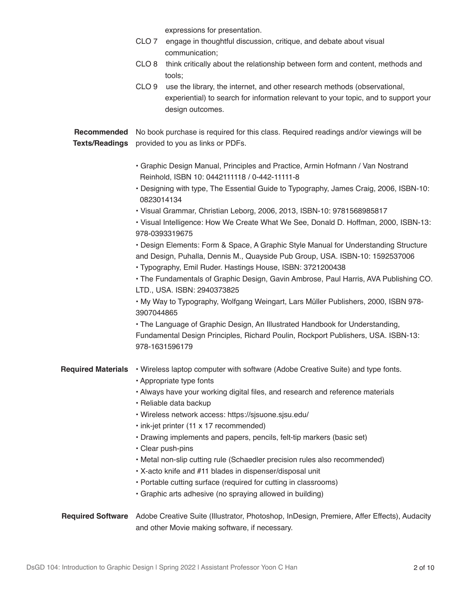|                           | CLO <sub>7</sub><br>CLO <sub>8</sub><br>CLO <sub>9</sub>                                                                                                                                                                          | expressions for presentation.<br>engage in thoughtful discussion, critique, and debate about visual<br>communication;<br>think critically about the relationship between form and content, methods and<br>tools;<br>use the library, the internet, and other research methods (observational,<br>experiential) to search for information relevant to your topic, and to support your<br>design outcomes. |  |  |  |
|---------------------------|-----------------------------------------------------------------------------------------------------------------------------------------------------------------------------------------------------------------------------------|----------------------------------------------------------------------------------------------------------------------------------------------------------------------------------------------------------------------------------------------------------------------------------------------------------------------------------------------------------------------------------------------------------|--|--|--|
| Recommended               | No book purchase is required for this class. Required readings and/or viewings will be                                                                                                                                            |                                                                                                                                                                                                                                                                                                                                                                                                          |  |  |  |
| <b>Texts/Readings</b>     | provided to you as links or PDFs.                                                                                                                                                                                                 |                                                                                                                                                                                                                                                                                                                                                                                                          |  |  |  |
|                           | • Graphic Design Manual, Principles and Practice, Armin Hofmann / Van Nostrand<br>Reinhold, ISBN 10: 0442111118 / 0-442-11111-8                                                                                                   |                                                                                                                                                                                                                                                                                                                                                                                                          |  |  |  |
|                           | . Designing with type, The Essential Guide to Typography, James Craig, 2006, ISBN-10:<br>0823014134                                                                                                                               |                                                                                                                                                                                                                                                                                                                                                                                                          |  |  |  |
|                           | · Visual Grammar, Christian Leborg, 2006, 2013, ISBN-10: 9781568985817<br>. Visual Intelligence: How We Create What We See, Donald D. Hoffman, 2000, ISBN-13:<br>978-0393319675                                                   |                                                                                                                                                                                                                                                                                                                                                                                                          |  |  |  |
|                           | • Design Elements: Form & Space, A Graphic Style Manual for Understanding Structure<br>and Design, Puhalla, Dennis M., Quayside Pub Group, USA. ISBN-10: 1592537006<br>• Typography, Emil Ruder. Hastings House, ISBN: 3721200438 |                                                                                                                                                                                                                                                                                                                                                                                                          |  |  |  |
|                           | . The Fundamentals of Graphic Design, Gavin Ambrose, Paul Harris, AVA Publishing CO.<br>LTD., USA. ISBN: 2940373825                                                                                                               |                                                                                                                                                                                                                                                                                                                                                                                                          |  |  |  |
|                           | . My Way to Typography, Wolfgang Weingart, Lars Müller Publishers, 2000, ISBN 978-<br>3907044865                                                                                                                                  |                                                                                                                                                                                                                                                                                                                                                                                                          |  |  |  |
|                           | • The Language of Graphic Design, An Illustrated Handbook for Understanding,<br>Fundamental Design Principles, Richard Poulin, Rockport Publishers, USA. ISBN-13:<br>978-1631596179                                               |                                                                                                                                                                                                                                                                                                                                                                                                          |  |  |  |
| <b>Required Materials</b> |                                                                                                                                                                                                                                   | . Wireless laptop computer with software (Adobe Creative Suite) and type fonts.<br>• Appropriate type fonts                                                                                                                                                                                                                                                                                              |  |  |  |
|                           |                                                                                                                                                                                                                                   | . Always have your working digital files, and research and reference materials<br>· Reliable data backup                                                                                                                                                                                                                                                                                                 |  |  |  |
|                           | · Wireless network access: https://sjsuone.sjsu.edu/                                                                                                                                                                              |                                                                                                                                                                                                                                                                                                                                                                                                          |  |  |  |
|                           | · ink-jet printer (11 x 17 recommended)<br>• Drawing implements and papers, pencils, felt-tip markers (basic set)                                                                                                                 |                                                                                                                                                                                                                                                                                                                                                                                                          |  |  |  |
|                           | • Clear push-pins<br>• Metal non-slip cutting rule (Schaedler precision rules also recommended)                                                                                                                                   |                                                                                                                                                                                                                                                                                                                                                                                                          |  |  |  |
|                           | . X-acto knife and #11 blades in dispenser/disposal unit                                                                                                                                                                          |                                                                                                                                                                                                                                                                                                                                                                                                          |  |  |  |
|                           |                                                                                                                                                                                                                                   | • Portable cutting surface (required for cutting in classrooms)<br>• Graphic arts adhesive (no spraying allowed in building)                                                                                                                                                                                                                                                                             |  |  |  |
| <b>Required Software</b>  |                                                                                                                                                                                                                                   | Adobe Creative Suite (Illustrator, Photoshop, InDesign, Premiere, Affer Effects), Audacity<br>and other Movie making software, if necessary.                                                                                                                                                                                                                                                             |  |  |  |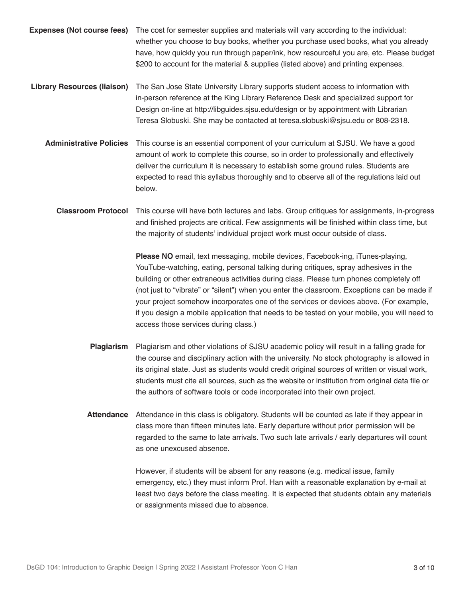- **Expenses (Not course fees)**  The cost for semester supplies and materials will vary according to the individual: whether you choose to buy books, whether you purchase used books, what you already have, how quickly you run through paper/ink, how resourceful you are, etc. Please budget \$200 to account for the material & supplies (listed above) and printing expenses.
- **Library Resources (liaison)** The San Jose State University Library supports student access to information with in-person reference at the King Library Reference Desk and specialized support for Design on-line at http://libguides.sjsu.edu/design or by appointment with Librarian Teresa Slobuski. She may be contacted at teresa.slobuski@sjsu.edu or 808-2318.
	- **Administrative Policies** This course is an essential component of your curriculum at SJSU. We have a good amount of work to complete this course, so in order to professionally and effectively deliver the curriculum it is necessary to establish some ground rules. Students are expected to read this syllabus thoroughly and to observe all of the regulations laid out below.
		- **Classroom Protocol** This course will have both lectures and labs. Group critiques for assignments, in-progress and finished projects are critical. Few assignments will be finished within class time, but the majority of students' individual project work must occur outside of class.

**Please NO** email, text messaging, mobile devices, Facebook-ing, iTunes-playing, YouTube-watching, eating, personal talking during critiques, spray adhesives in the building or other extraneous activities during class. Please turn phones completely off (not just to "vibrate" or "silent") when you enter the classroom. Exceptions can be made if your project somehow incorporates one of the services or devices above. (For example, if you design a mobile application that needs to be tested on your mobile, you will need to access those services during class.)

- **Plagiarism** Plagiarism and other violations of SJSU academic policy will result in a falling grade for the course and disciplinary action with the university. No stock photography is allowed in its original state. Just as students would credit original sources of written or visual work, students must cite all sources, such as the website or institution from original data file or the authors of software tools or code incorporated into their own project.
- **Attendance** Attendance in this class is obligatory. Students will be counted as late if they appear in class more than fifteen minutes late. Early departure without prior permission will be regarded to the same to late arrivals. Two such late arrivals / early departures will count as one unexcused absence.

However, if students will be absent for any reasons (e.g. medical issue, family emergency, etc.) they must inform Prof. Han with a reasonable explanation by e-mail at least two days before the class meeting. It is expected that students obtain any materials or assignments missed due to absence.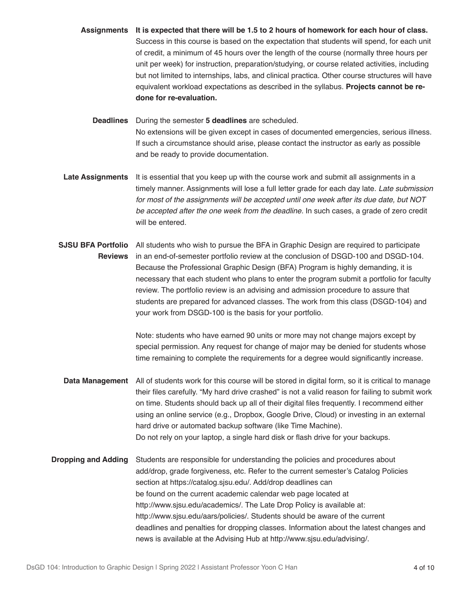**Assignments It is expected that there will be 1.5 to 2 hours of homework for each hour of class.** Success in this course is based on the expectation that students will spend, for each unit of credit, a minimum of 45 hours over the length of the course (normally three hours per unit per week) for instruction, preparation/studying, or course related activities, including but not limited to internships, labs, and clinical practica. Other course structures will have equivalent workload expectations as described in the syllabus. **Projects cannot be redone for re-evaluation.**

**Deadlines** During the semester **5 deadlines** are scheduled. No extensions will be given except in cases of documented emergencies, serious illness. If such a circumstance should arise, please contact the instructor as early as possible and be ready to provide documentation.

- **Late Assignments** It is essential that you keep up with the course work and submit all assignments in a timely manner. Assignments will lose a full letter grade for each day late. *Late submission for most of the assignments will be accepted until one week after its due date, but NOT be accepted after the one week from the deadline.* In such cases, a grade of zero credit will be entered.
- **SJSU BFA Portfolio** All students who wish to pursue the BFA in Graphic Design are required to participate **Reviews** in an end-of-semester portfolio review at the conclusion of DSGD-100 and DSGD-104. Because the Professional Graphic Design (BFA) Program is highly demanding, it is necessary that each student who plans to enter the program submit a portfolio for faculty review. The portfolio review is an advising and admission procedure to assure that students are prepared for advanced classes. The work from this class (DSGD-104) and your work from DSGD-100 is the basis for your portfolio.

Note: students who have earned 90 units or more may not change majors except by special permission. Any request for change of major may be denied for students whose time remaining to complete the requirements for a degree would significantly increase.

- **Data Management** All of students work for this course will be stored in digital form, so it is critical to manage their files carefully. "My hard drive crashed" is not a valid reason for failing to submit work on time. Students should back up all of their digital files frequently. I recommend either using an online service (e.g., Dropbox, Google Drive, Cloud) or investing in an external hard drive or automated backup software (like Time Machine). Do not rely on your laptop, a single hard disk or flash drive for your backups.
- **Dropping and Adding** Students are responsible for understanding the policies and procedures about add/drop, grade forgiveness, etc. Refer to the current semester's Catalog Policies section at https://catalog.sjsu.edu/. Add/drop deadlines can be found on the current academic calendar web page located at http://www.sjsu.edu/academics/. The Late Drop Policy is available at: http://www.sjsu.edu/aars/policies/. Students should be aware of the current deadlines and penalties for dropping classes. Information about the latest changes and news is available at the Advising Hub at http://www.sjsu.edu/advising/.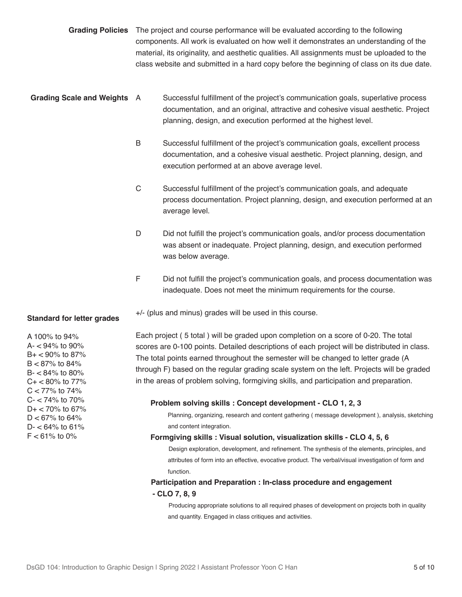- **Grading Policies** The project and course performance will be evaluated according to the following components. All work is evaluated on how well it demonstrates an understanding of the material, its originality, and aesthetic qualities. All assignments must be uploaded to the class website and submitted in a hard copy before the beginning of class on its due date.
- **Grading Scale and Weights** A Successful fulfillment of the project's communication goals, superlative process documentation, and an original, attractive and cohesive visual aesthetic. Project planning, design, and execution performed at the highest level.
	- B Successful fulfillment of the project's communication goals, excellent process documentation, and a cohesive visual aesthetic. Project planning, design, and execution performed at an above average level.
	- C Successful fulfillment of the project's communication goals, and adequate process documentation. Project planning, design, and execution performed at an average level.
	- D Did not fulfill the project's communication goals, and/or process documentation was absent or inadequate. Project planning, design, and execution performed was below average.
	- F Did not fulfill the project's communication goals, and process documentation was inadequate. Does not meet the minimum requirements for the course.

+/- (plus and minus) grades will be used in this course.

Each project ( 5 total ) will be graded upon completion on a score of 0-20. The total scores are 0-100 points. Detailed descriptions of each project will be distributed in class. The total points earned throughout the semester will be changed to letter grade (A through F) based on the regular grading scale system on the left. Projects will be graded in the areas of problem solving, formgiving skills, and participation and preparation.

#### **Problem solving skills : Concept development - CLO 1, 2, 3**

 Planning, organizing, research and content gathering ( message development ), analysis, sketching and content integration.

#### **Formgiving skills : Visual solution, visualization skills - CLO 4, 5, 6**

 Design exploration, development, and refinement. The synthesis of the elements, principles, and attributes of form into an effective, evocative product. The verbal/visual investigation of form and function.

## **Participation and Preparation : In-class procedure and engagement - CLO 7, 8, 9**

 Producing appropriate solutions to all required phases of development on projects both in quality and quantity. Engaged in class critiques and activities.

#### **Standard for letter grades**

A 100% to 94%  $A - 94\%$  to 90%  $B + < 90\%$  to 87%  $B < 87\%$  to 84% B- < 84% to 80%  $C + < 80\%$  to 77%  $C < 77\%$  to 74%  $C - < 74\%$  to 70%  $D+ < 70\%$  to 67%  $D < 67\%$  to 64%  $D - < 64\%$  to 61%  $F < 61\%$  to 0%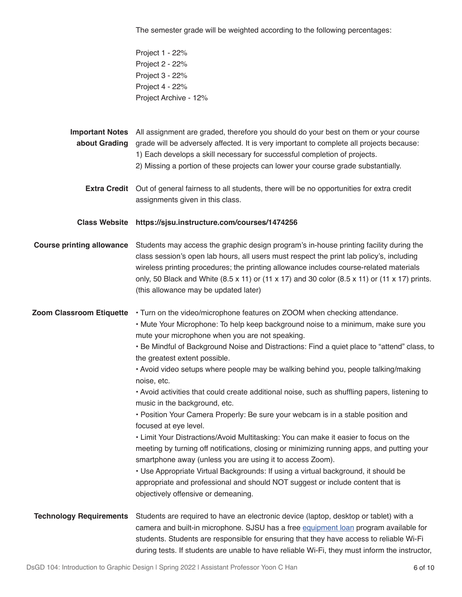The semester grade will be weighted according to the following percentages:

Project 1 - 22% Project 2 - 22% Project 3 - 22% Project 4 - 22% Project Archive - 12%

**Important Notes**  All assignment are graded, therefore you should do your best on them or your course **about Grading**  grade will be adversely affected. It is very important to complete all projects because: 1) Each develops a skill necessary for successful completion of projects.

- 2) Missing a portion of these projects can lower your course grade substantially.
- **Extra Credit** Out of general fairness to all students, there will be no opportunities for extra credit assignments given in this class.

**Class Website https://sjsu.instructure.com/courses/1474256**

**Course printing allowance** Students may access the graphic design program's in-house printing facility during the class session's open lab hours, all users must respect the print lab policy's, including wireless printing procedures; the printing allowance includes course-related materials only, 50 Black and White  $(8.5 \times 11)$  or  $(11 \times 17)$  and 30 color  $(8.5 \times 11)$  or  $(11 \times 17)$  prints. (this allowance may be updated later)

**Zoom Classroom Etiquette** • Turn on the video/microphone features on ZOOM when checking attendance.

- Mute Your Microphone: To help keep background noise to a minimum, make sure you mute your microphone when you are not speaking.
- Be Mindful of Background Noise and Distractions: Find a quiet place to "attend" class, to the greatest extent possible.
- Avoid video setups where people may be walking behind you, people talking/making noise, etc.

• Avoid activities that could create additional noise, such as shuffling papers, listening to music in the background, etc.

• Position Your Camera Properly: Be sure your webcam is in a stable position and focused at eye level.

• Limit Your Distractions/Avoid Multitasking: You can make it easier to focus on the meeting by turning off notifications, closing or minimizing running apps, and putting your smartphone away (unless you are using it to access Zoom).

• Use Appropriate Virtual Backgrounds: If using a virtual background, it should be appropriate and professional and should NOT suggest or include content that is objectively offensive or demeaning.

**Technology Requirements** Students are required to have an electronic device (laptop, desktop or tablet) with a camera and built-in microphone. SJSU has a free [equipment loan](https://www.sjsu.edu/learnanywhere/equipment/index.php) program available for students. Students are responsible for ensuring that they have access to reliable Wi-Fi during tests. If students are unable to have reliable Wi-Fi, they must inform the instructor,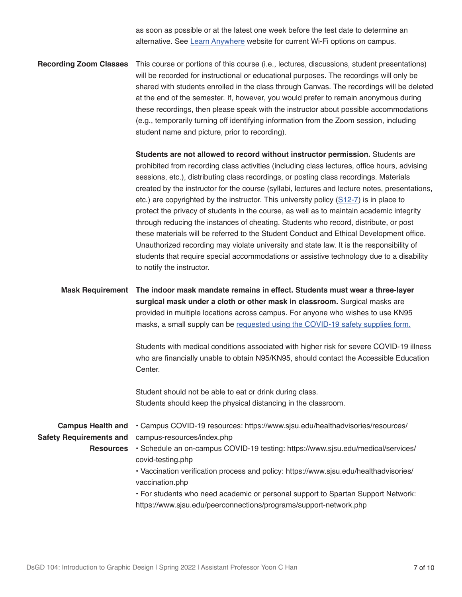as soon as possible or at the latest one week before the test date to determine an alternative. See [Learn Anywhere](https://www.sjsu.edu/learnanywhere/equipment/index.php) website for current Wi-Fi options on campus.

**Recording Zoom Classes** This course or portions of this course (i.e., lectures, discussions, student presentations) will be recorded for instructional or educational purposes. The recordings will only be shared with students enrolled in the class through Canvas. The recordings will be deleted at the end of the semester. If, however, you would prefer to remain anonymous during these recordings, then please speak with the instructor about possible accommodations (e.g., temporarily turning off identifying information from the Zoom session, including student name and picture, prior to recording).

> **Students are not allowed to record without instructor permission.** Students are prohibited from recording class activities (including class lectures, office hours, advising sessions, etc.), distributing class recordings, or posting class recordings. Materials created by the instructor for the course (syllabi, lectures and lecture notes, presentations, etc.) are copyrighted by the instructor. This university policy ([S12-7\)](https://www.sjsu.edu/senate/docs/S12-7.pdf) is in place to protect the privacy of students in the course, as well as to maintain academic integrity through reducing the instances of cheating. Students who record, distribute, or post these materials will be referred to the Student Conduct and Ethical Development office. Unauthorized recording may violate university and state law. It is the responsibility of students that require special accommodations or assistive technology due to a disability to notify the instructor.

**Mask Requirement The indoor mask mandate remains in effect. Students must wear a three-layer surgical mask under a cloth or other mask in classroom.** Surgical masks are provided in multiple locations across campus. For anyone who wishes to use KN95 masks, a small supply can be [requested using the COVID-19 safety supplies form.](https://comm.sjsu.edu/NjYzLVVLUS05OTgAAAGB73GCsT0xBaxH4Ol9v2WM6iInNbDvE-Bl9B1awrkZVXpm9tGqfKd5-JCJHzdU9yGibmekwIY=)

> Students with medical conditions associated with higher risk for severe COVID-19 illness who are financially unable to obtain N95/KN95, should contact the [Accessible Education](https://comm.sjsu.edu/NjYzLVVLUS05OTgAAAGB73GCsAYg2K6wOZeo_sNEaMM_aDN0WntY_UsGqzLRGDNsnYBs7s5e1_0C3GkS7spGgM08dVM=)  [Center.](https://comm.sjsu.edu/NjYzLVVLUS05OTgAAAGB73GCsAYg2K6wOZeo_sNEaMM_aDN0WntY_UsGqzLRGDNsnYBs7s5e1_0C3GkS7spGgM08dVM=)

[Student should not be able to eat or drink during class.](https://comm.sjsu.edu/NjYzLVVLUS05OTgAAAGB73GCsAYg2K6wOZeo_sNEaMM_aDN0WntY_UsGqzLRGDNsnYBs7s5e1_0C3GkS7spGgM08dVM=) [Students should keep the physical distancing in the classroom.](https://comm.sjsu.edu/NjYzLVVLUS05OTgAAAGB73GCsAYg2K6wOZeo_sNEaMM_aDN0WntY_UsGqzLRGDNsnYBs7s5e1_0C3GkS7spGgM08dVM=)

**Campus Health and Safety Requirements and**  [campus-resources/index.php](https://comm.sjsu.edu/NjYzLVVLUS05OTgAAAGB73GCsAYg2K6wOZeo_sNEaMM_aDN0WntY_UsGqzLRGDNsnYBs7s5e1_0C3GkS7spGgM08dVM=) **Resources**  [• Schedule an on-campus COVID-19 testing: https://www.sjsu.edu/medical/services/](https://comm.sjsu.edu/NjYzLVVLUS05OTgAAAGB73GCsAYg2K6wOZeo_sNEaMM_aDN0WntY_UsGqzLRGDNsnYBs7s5e1_0C3GkS7spGgM08dVM=) [• Campus COVID-19 resources: https://www.sjsu.edu/healthadvisories/resources/](https://comm.sjsu.edu/NjYzLVVLUS05OTgAAAGB73GCsAYg2K6wOZeo_sNEaMM_aDN0WntY_UsGqzLRGDNsnYBs7s5e1_0C3GkS7spGgM08dVM=) [covid-testing.php](https://comm.sjsu.edu/NjYzLVVLUS05OTgAAAGB73GCsAYg2K6wOZeo_sNEaMM_aDN0WntY_UsGqzLRGDNsnYBs7s5e1_0C3GkS7spGgM08dVM=) [• Vaccination verification process and policy: https://www.sjsu.edu/healthadvisories/](https://comm.sjsu.edu/NjYzLVVLUS05OTgAAAGB73GCsAYg2K6wOZeo_sNEaMM_aDN0WntY_UsGqzLRGDNsnYBs7s5e1_0C3GkS7spGgM08dVM=) [vaccination.php](https://comm.sjsu.edu/NjYzLVVLUS05OTgAAAGB73GCsAYg2K6wOZeo_sNEaMM_aDN0WntY_UsGqzLRGDNsnYBs7s5e1_0C3GkS7spGgM08dVM=) [• For students who need academic or personal support to Spartan Support Network:](https://comm.sjsu.edu/NjYzLVVLUS05OTgAAAGB73GCsAYg2K6wOZeo_sNEaMM_aDN0WntY_UsGqzLRGDNsnYBs7s5e1_0C3GkS7spGgM08dVM=)  [https://www.sjsu.edu/peerconnections/programs/support-network.php](https://comm.sjsu.edu/NjYzLVVLUS05OTgAAAGB73GCsAYg2K6wOZeo_sNEaMM_aDN0WntY_UsGqzLRGDNsnYBs7s5e1_0C3GkS7spGgM08dVM=)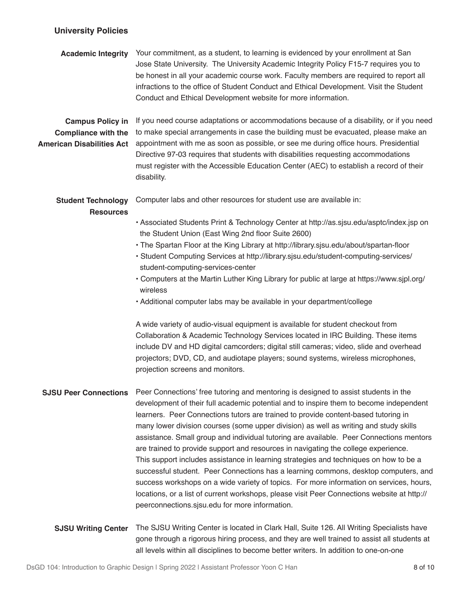## **University Policies**

| <b>Academic Integrity</b>                                                                 | Your commitment, as a student, to learning is evidenced by your enrollment at San<br>Jose State University. The University Academic Integrity Policy F15-7 requires you to<br>be honest in all your academic course work. Faculty members are required to report all<br>infractions to the office of Student Conduct and Ethical Development. Visit the Student<br>Conduct and Ethical Development website for more information.                                                                                                                                                                                                                                                                                                                                                                                                                                                                                                                                                                                          |
|-------------------------------------------------------------------------------------------|---------------------------------------------------------------------------------------------------------------------------------------------------------------------------------------------------------------------------------------------------------------------------------------------------------------------------------------------------------------------------------------------------------------------------------------------------------------------------------------------------------------------------------------------------------------------------------------------------------------------------------------------------------------------------------------------------------------------------------------------------------------------------------------------------------------------------------------------------------------------------------------------------------------------------------------------------------------------------------------------------------------------------|
| <b>Campus Policy in</b><br><b>Compliance with the</b><br><b>American Disabilities Act</b> | If you need course adaptations or accommodations because of a disability, or if you need<br>to make special arrangements in case the building must be evacuated, please make an<br>appointment with me as soon as possible, or see me during office hours. Presidential<br>Directive 97-03 requires that students with disabilities requesting accommodations<br>must register with the Accessible Education Center (AEC) to establish a record of their<br>disability.                                                                                                                                                                                                                                                                                                                                                                                                                                                                                                                                                   |
| <b>Student Technology</b><br><b>Resources</b>                                             | Computer labs and other resources for student use are available in:<br>• Associated Students Print & Technology Center at http://as.sjsu.edu/asptc/index.jsp on<br>the Student Union (East Wing 2nd floor Suite 2600)<br>. The Spartan Floor at the King Library at http://library.sjsu.edu/about/spartan-floor<br>· Student Computing Services at http://library.sjsu.edu/student-computing-services/<br>student-computing-services-center<br>. Computers at the Martin Luther King Library for public at large at https://www.sjpl.org/<br>wireless<br>• Additional computer labs may be available in your department/college<br>A wide variety of audio-visual equipment is available for student checkout from<br>Collaboration & Academic Technology Services located in IRC Building. These items<br>include DV and HD digital camcorders; digital still cameras; video, slide and overhead<br>projectors; DVD, CD, and audiotape players; sound systems, wireless microphones,<br>projection screens and monitors. |
| <b>SJSU Peer Connections</b>                                                              | Peer Connections' free tutoring and mentoring is designed to assist students in the<br>development of their full academic potential and to inspire them to become independent<br>learners. Peer Connections tutors are trained to provide content-based tutoring in<br>many lower division courses (some upper division) as well as writing and study skills<br>assistance. Small group and individual tutoring are available. Peer Connections mentors<br>are trained to provide support and resources in navigating the college experience.<br>This support includes assistance in learning strategies and techniques on how to be a<br>successful student. Peer Connections has a learning commons, desktop computers, and<br>success workshops on a wide variety of topics. For more information on services, hours,<br>locations, or a list of current workshops, please visit Peer Connections website at http://<br>peerconnections.sjsu.edu for more information.                                                 |
| <b>SJSU Writing Center</b>                                                                | The SJSU Writing Center is located in Clark Hall, Suite 126. All Writing Specialists have<br>gone through a rigorous hiring process, and they are well trained to assist all students at                                                                                                                                                                                                                                                                                                                                                                                                                                                                                                                                                                                                                                                                                                                                                                                                                                  |

all levels within all disciplines to become better writers. In addition to one-on-one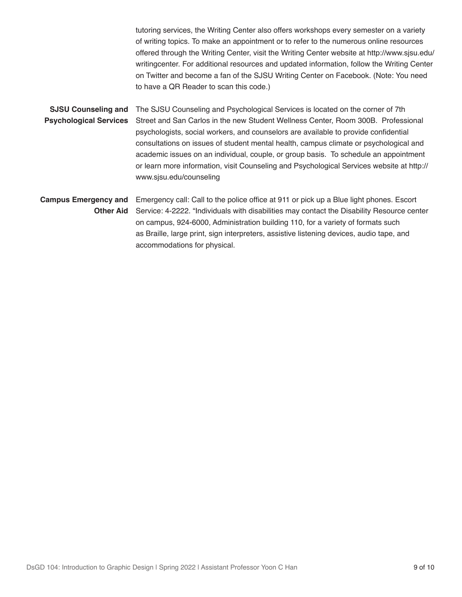tutoring services, the Writing Center also offers workshops every semester on a variety of writing topics. To make an appointment or to refer to the numerous online resources offered through the Writing Center, visit the Writing Center website at http://www.sjsu.edu/ writingcenter. For additional resources and updated information, follow the Writing Center on Twitter and become a fan of the SJSU Writing Center on Facebook. (Note: You need to have a QR Reader to scan this code.)

**SJSU Counseling and Psychological Services** The SJSU Counseling and Psychological Services is located on the corner of 7th Street and San Carlos in the new Student Wellness Center, Room 300B. Professional psychologists, social workers, and counselors are available to provide confidential consultations on issues of student mental health, campus climate or psychological and academic issues on an individual, couple, or group basis. To schedule an appointment or learn more information, visit Counseling and Psychological Services website at http:// www.sjsu.edu/counseling

**Campus Emergency and Other Aid** Emergency call: Call to the police office at 911 or pick up a Blue light phones. Escort Service: 4-2222. "Individuals with disabilities may contact the Disability Resource center on campus, 924-6000, Administration building 110, for a variety of formats such as Braille, large print, sign interpreters, assistive listening devices, audio tape, and accommodations for physical.